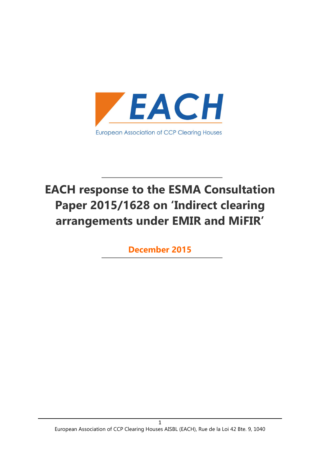

# EACH response to the ESMA Consultation Paper 2015/1628 on 'Indirect clearing arrangements under EMIR and MiFIR'

December 2015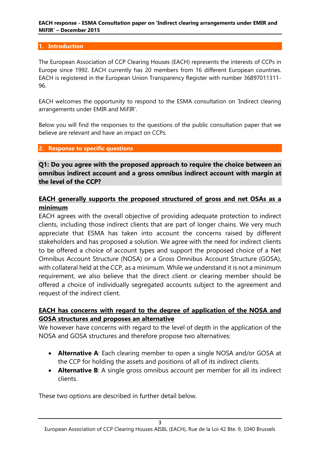#### 1. Introduction

The European Association of CCP Clearing Houses (EACH) represents the interests of CCPs in Europe since 1992. EACH currently has 20 members from 16 different European countries. EACH is registered in the European Union Transparency Register with number 36897011311- 96.

EACH welcomes the opportunity to respond to the ESMA consultation on 'Indirect clearing arrangements under EMIR and MiFIR'.

Below you will find the responses to the questions of the public consultation paper that we believe are relevant and have an impact on CCPs.

2. Response to specific questions

Q1: Do you agree with the proposed approach to require the choice between an omnibus indirect account and a gross omnibus indirect account with margin at the level of the CCP?

## EACH generally supports the proposed structured of gross and net OSAs as a minimum

EACH agrees with the overall objective of providing adequate protection to indirect clients, including those indirect clients that are part of longer chains. We very much appreciate that ESMA has taken into account the concerns raised by different stakeholders and has proposed a solution. We agree with the need for indirect clients to be offered a choice of account types and support the proposed choice of a Net Omnibus Account Structure (NOSA) or a Gross Omnibus Account Structure (GOSA), with collateral held at the CCP, as a minimum. While we understand it is not a minimum requirement, we also believe that the direct client or clearing member should be offered a choice of individually segregated accounts subject to the agreement and request of the indirect client.

## EACH has concerns with regard to the degree of application of the NOSA and GOSA structures and proposes an alternative

We however have concerns with regard to the level of depth in the application of the NOSA and GOSA structures and therefore propose two alternatives:

- Alternative A: Each clearing member to open a single NOSA and/or GOSA at the CCP for holding the assets and positions of all of its indirect clients.
- Alternative B: A single gross omnibus account per member for all its indirect clients.

These two options are described in further detail below.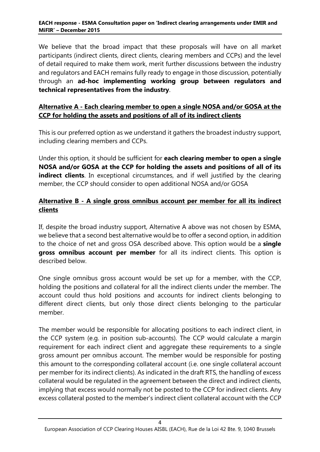We believe that the broad impact that these proposals will have on all market participants (indirect clients, direct clients, clearing members and CCPs) and the level of detail required to make them work, merit further discussions between the industry and regulators and EACH remains fully ready to engage in those discussion, potentially through an ad-hoc implementing working group between regulators and technical representatives from the industry.

## Alternative A - Each clearing member to open a single NOSA and/or GOSA at the CCP for holding the assets and positions of all of its indirect clients

This is our preferred option as we understand it gathers the broadest industry support, including clearing members and CCPs.

Under this option, it should be sufficient for each clearing member to open a single NOSA and/or GOSA at the CCP for holding the assets and positions of all of its indirect clients. In exceptional circumstances, and if well justified by the clearing member, the CCP should consider to open additional NOSA and/or GOSA

## Alternative B - A single gross omnibus account per member for all its indirect clients

If, despite the broad industry support, Alternative A above was not chosen by ESMA, we believe that a second best alternative would be to offer a second option, in addition to the choice of net and gross OSA described above. This option would be a **single** gross omnibus account per member for all its indirect clients. This option is described below.

One single omnibus gross account would be set up for a member, with the CCP, holding the positions and collateral for all the indirect clients under the member. The account could thus hold positions and accounts for indirect clients belonging to different direct clients, but only those direct clients belonging to the particular member.

The member would be responsible for allocating positions to each indirect client, in the CCP system (e.g. in position sub-accounts). The CCP would calculate a margin requirement for each indirect client and aggregate these requirements to a single gross amount per omnibus account. The member would be responsible for posting this amount to the corresponding collateral account (i.e. one single collateral account per member for its indirect clients). As indicated in the draft RTS, the handling of excess collateral would be regulated in the agreement between the direct and indirect clients, implying that excess would normally not be posted to the CCP for indirect clients. Any excess collateral posted to the member's indirect client collateral account with the CCP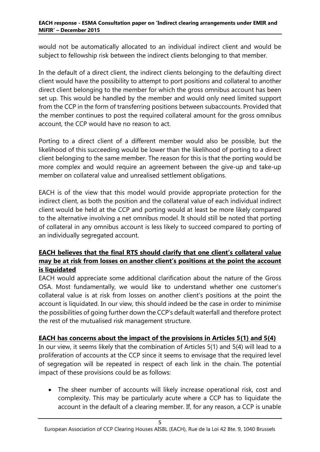#### EACH response - ESMA Consultation paper on 'Indirect clearing arrangements under EMIR and MiFIR' – December 2015

would not be automatically allocated to an individual indirect client and would be subject to fellowship risk between the indirect clients belonging to that member.

In the default of a direct client, the indirect clients belonging to the defaulting direct client would have the possibility to attempt to port positions and collateral to another direct client belonging to the member for which the gross omnibus account has been set up. This would be handled by the member and would only need limited support from the CCP in the form of transferring positions between subaccounts. Provided that the member continues to post the required collateral amount for the gross omnibus account, the CCP would have no reason to act.

Porting to a direct client of a different member would also be possible, but the likelihood of this succeeding would be lower than the likelihood of porting to a direct client belonging to the same member. The reason for this is that the porting would be more complex and would require an agreement between the give-up and take-up member on collateral value and unrealised settlement obligations.

EACH is of the view that this model would provide appropriate protection for the indirect client, as both the position and the collateral value of each individual indirect client would be held at the CCP and porting would at least be more likely compared to the alternative involving a net omnibus model. It should still be noted that porting of collateral in any omnibus account is less likely to succeed compared to porting of an individually segregated account.

## EACH believes that the final RTS should clarify that one client's collateral value may be at risk from losses on another client's positions at the point the account is liquidated

EACH would appreciate some additional clarification about the nature of the Gross OSA. Most fundamentally, we would like to understand whether one customer's collateral value is at risk from losses on another client's positions at the point the account is liquidated. In our view, this should indeed be the case in order to minimise the possibilities of going further down the CCP's default waterfall and therefore protect the rest of the mutualised risk management structure.

### EACH has concerns about the impact of the provisions in Articles 5(1) and 5(4)

In our view, it seems likely that the combination of Articles 5(1) and 5(4) will lead to a proliferation of accounts at the CCP since it seems to envisage that the required level of segregation will be repeated in respect of each link in the chain. The potential impact of these provisions could be as follows:

 The sheer number of accounts will likely increase operational risk, cost and complexity. This may be particularly acute where a CCP has to liquidate the account in the default of a clearing member. If, for any reason, a CCP is unable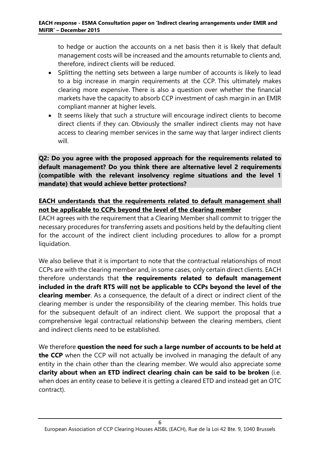to hedge or auction the accounts on a net basis then it is likely that default management costs will be increased and the amounts returnable to clients and, therefore, indirect clients will be reduced.

- Splitting the netting sets between a large number of accounts is likely to lead to a big increase in margin requirements at the CCP. This ultimately makes clearing more expensive. There is also a question over whether the financial markets have the capacity to absorb CCP investment of cash margin in an EMIR compliant manner at higher levels.
- It seems likely that such a structure will encourage indirect clients to become direct clients if they can. Obviously the smaller indirect clients may not have access to clearing member services in the same way that larger indirect clients will.

Q2: Do you agree with the proposed approach for the requirements related to default management? Do you think there are alternative level 2 requirements (compatible with the relevant insolvency regime situations and the level 1 mandate) that would achieve better protections?

## EACH understands that the requirements related to default management shall not be applicable to CCPs beyond the level of the clearing member

EACH agrees with the requirement that a Clearing Member shall commit to trigger the necessary procedures for transferring assets and positions held by the defaulting client for the account of the indirect client including procedures to allow for a prompt liquidation.

We also believe that it is important to note that the contractual relationships of most CCPs are with the clearing member and, in some cases, only certain direct clients. EACH therefore understands that the requirements related to default management included in the draft RTS will not be applicable to CCPs beyond the level of the clearing member. As a consequence, the default of a direct or indirect client of the clearing member is under the responsibility of the clearing member. This holds true for the subsequent default of an indirect client. We support the proposal that a comprehensive legal contractual relationship between the clearing members, client and indirect clients need to be established.

We therefore question the need for such a large number of accounts to be held at the CCP when the CCP will not actually be involved in managing the default of any entity in the chain other than the clearing member. We would also appreciate some clarity about when an ETD indirect clearing chain can be said to be broken (i.e. when does an entity cease to believe it is getting a cleared ETD and instead get an OTC contract).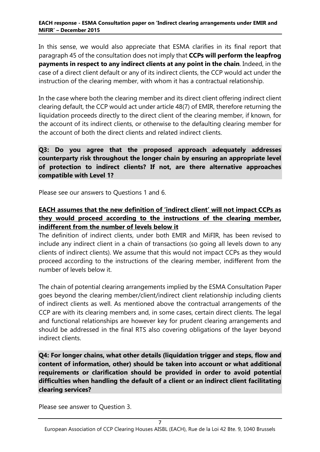In this sense, we would also appreciate that ESMA clarifies in its final report that paragraph 45 of the consultation does not imply that CCPs will perform the leapfrog payments in respect to any indirect clients at any point in the chain. Indeed, in the case of a direct client default or any of its indirect clients, the CCP would act under the instruction of the clearing member, with whom it has a contractual relationship.

In the case where both the clearing member and its direct client offering indirect client clearing default, the CCP would act under article 48(7) of EMIR, therefore returning the liquidation proceeds directly to the direct client of the clearing member, if known, for the account of its indirect clients, or otherwise to the defaulting clearing member for the account of both the direct clients and related indirect clients.

Q3: Do you agree that the proposed approach adequately addresses counterparty risk throughout the longer chain by ensuring an appropriate level of protection to indirect clients? If not, are there alternative approaches compatible with Level 1?

Please see our answers to Questions 1 and 6.

## EACH assumes that the new definition of 'indirect client' will not impact CCPs as they would proceed according to the instructions of the clearing member, indifferent from the number of levels below it

The definition of indirect clients, under both EMIR and MiFIR, has been revised to include any indirect client in a chain of transactions (so going all levels down to any clients of indirect clients). We assume that this would not impact CCPs as they would proceed according to the instructions of the clearing member, indifferent from the number of levels below it.

The chain of potential clearing arrangements implied by the ESMA Consultation Paper goes beyond the clearing member/client/indirect client relationship including clients of indirect clients as well. As mentioned above the contractual arrangements of the CCP are with its clearing members and, in some cases, certain direct clients. The legal and functional relationships are however key for prudent clearing arrangements and should be addressed in the final RTS also covering obligations of the layer beyond indirect clients.

Q4: For longer chains, what other details (liquidation trigger and steps, flow and content of information, other) should be taken into account or what additional requirements or clarification should be provided in order to avoid potential difficulties when handling the default of a client or an indirect client facilitating clearing services?

Please see answer to Question 3.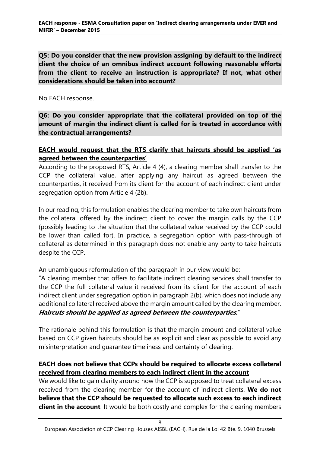Q5: Do you consider that the new provision assigning by default to the indirect client the choice of an omnibus indirect account following reasonable efforts from the client to receive an instruction is appropriate? If not, what other considerations should be taken into account?

No EACH response.

Q6: Do you consider appropriate that the collateral provided on top of the amount of margin the indirect client is called for is treated in accordance with the contractual arrangements?

## EACH would request that the RTS clarify that haircuts should be applied 'as agreed between the counterparties'

According to the proposed RTS, Article 4 (4), a clearing member shall transfer to the CCP the collateral value, after applying any haircut as agreed between the counterparties, it received from its client for the account of each indirect client under segregation option from Article 4 (2b).

In our reading, this formulation enables the clearing member to take own haircuts from the collateral offered by the indirect client to cover the margin calls by the CCP (possibly leading to the situation that the collateral value received by the CCP could be lower than called for). In practice, a segregation option with pass-through of collateral as determined in this paragraph does not enable any party to take haircuts despite the CCP.

An unambiguous reformulation of the paragraph in our view would be:

"A clearing member that offers to facilitate indirect clearing services shall transfer to the CCP the full collateral value it received from its client for the account of each indirect client under segregation option in paragraph 2(b), which does not include any additional collateral received above the margin amount called by the clearing member. Haircuts should be applied as agreed between the counterparties."

The rationale behind this formulation is that the margin amount and collateral value based on CCP given haircuts should be as explicit and clear as possible to avoid any misinterpretation and guarantee timeliness and certainty of clearing.

## EACH does not believe that CCPs should be required to allocate excess collateral received from clearing members to each indirect client in the account

We would like to gain clarity around how the CCP is supposed to treat collateral excess received from the clearing member for the account of indirect clients. We do not believe that the CCP should be requested to allocate such excess to each indirect client in the account. It would be both costly and complex for the clearing members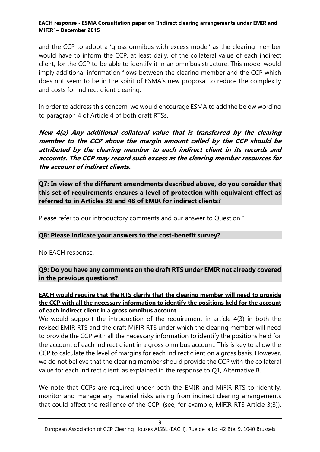and the CCP to adopt a 'gross omnibus with excess model' as the clearing member would have to inform the CCP, at least daily, of the collateral value of each indirect client, for the CCP to be able to identify it in an omnibus structure. This model would imply additional information flows between the clearing member and the CCP which does not seem to be in the spirit of ESMA's new proposal to reduce the complexity and costs for indirect client clearing.

In order to address this concern, we would encourage ESMA to add the below wording to paragraph 4 of Article 4 of both draft RTSs.

New 4(a) Any additional collateral value that is transferred by the clearing member to the CCP above the margin amount called by the CCP should be attributed by the clearing member to each indirect client in its records and accounts. The CCP may record such excess as the clearing member resources for the account of indirect clients.

Q7: In view of the different amendments described above, do you consider that this set of requirements ensures a level of protection with equivalent effect as referred to in Articles 39 and 48 of EMIR for indirect clients?

Please refer to our introductory comments and our answer to Question 1.

### Q8: Please indicate your answers to the cost-benefit survey?

No EACH response.

Q9: Do you have any comments on the draft RTS under EMIR not already covered in the previous questions?

### EACH would require that the RTS clarify that the clearing member will need to provide the CCP with all the necessary information to identify the positions held for the account of each indirect client in a gross omnibus account

We would support the introduction of the requirement in article 4(3) in both the revised EMIR RTS and the draft MiFIR RTS under which the clearing member will need to provide the CCP with all the necessary information to identify the positions held for the account of each indirect client in a gross omnibus account. This is key to allow the CCP to calculate the level of margins for each indirect client on a gross basis. However, we do not believe that the clearing member should provide the CCP with the collateral value for each indirect client, as explained in the response to Q1, Alternative B.

We note that CCPs are required under both the EMIR and MiFIR RTS to 'identify, monitor and manage any material risks arising from indirect clearing arrangements that could affect the resilience of the CCP' (see, for example, MiFIR RTS Article 3(3)).